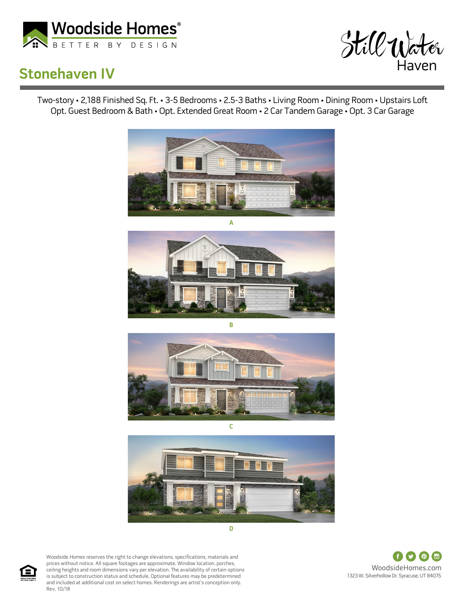

## **Stonehaven IV**



Two-story • 2,188 Finished Sq. Ft. • 3-5 Bedrooms • 2.5-3 Baths • Living Room • Dining Room • Upstairs Loft Opt. Guest Bedroom & Bath • Opt. Extended Great Room • 2 Car Tandem Garage • Opt. 3 Car Garage











Woodside Homes reserves the right to change elevations, specifications, materials and prices without notice. All square footages are approximate. Window location, porches, ceiling heights and room dimensions vary per elevation. The availability of certain options is subject to construction status and schedule. Optional features may be predetermined and included at additional cost on select homes. Renderings are artist's conception only. Rev. 10/18